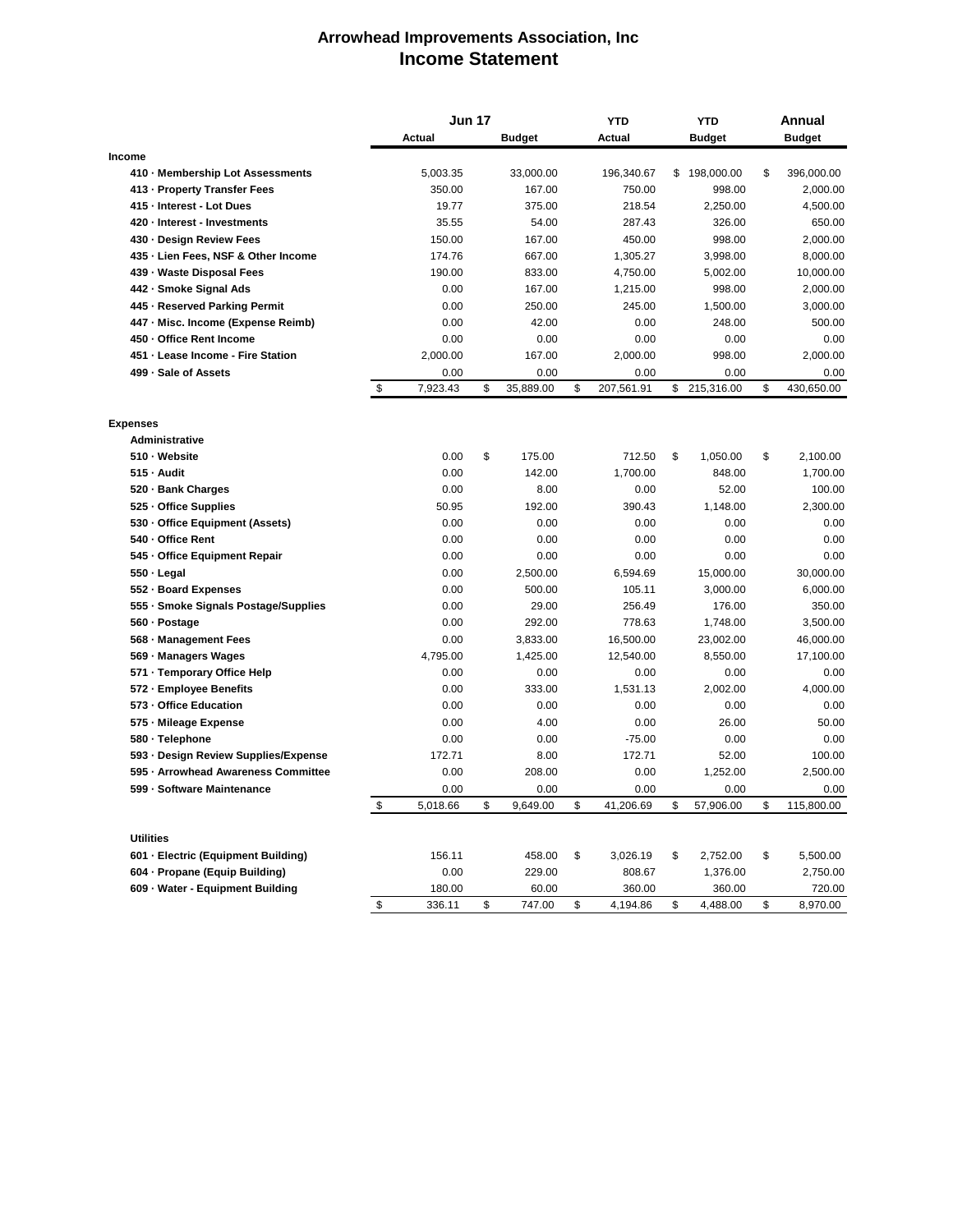## **Arrowhead Improvements Association, Inc Income Statement**

|                                      | <b>Jun 17</b>             |          |    |               | <b>YTD</b>       |    | <b>YTD</b>    |    | <b>Annual</b> |
|--------------------------------------|---------------------------|----------|----|---------------|------------------|----|---------------|----|---------------|
|                                      |                           | Actual   |    | <b>Budget</b> | Actual           |    | <b>Budget</b> |    | <b>Budget</b> |
| <b>Income</b>                        |                           |          |    |               |                  |    |               |    |               |
| 410 - Membership Lot Assessments     |                           | 5,003.35 |    | 33,000.00     | 196,340.67       | \$ | 198,000.00    | \$ | 396,000.00    |
| 413 - Property Transfer Fees         |                           | 350.00   |    | 167.00        | 750.00           |    | 998.00        |    | 2,000.00      |
| 415 - Interest - Lot Dues            |                           | 19.77    |    | 375.00        | 218.54           |    | 2,250.00      |    | 4,500.00      |
| 420 · Interest - Investments         |                           | 35.55    |    | 54.00         | 287.43           |    | 326.00        |    | 650.00        |
| 430 - Design Review Fees             |                           | 150.00   |    | 167.00        | 450.00           |    | 998.00        |    | 2,000.00      |
| 435 - Lien Fees, NSF & Other Income  |                           | 174.76   |    | 667.00        | 1,305.27         |    | 3,998.00      |    | 8,000.00      |
| 439 - Waste Disposal Fees            |                           | 190.00   |    | 833.00        | 4,750.00         |    | 5,002.00      |    | 10,000.00     |
| 442 - Smoke Signal Ads               |                           | 0.00     |    | 167.00        | 1,215.00         |    | 998.00        |    | 2,000.00      |
| 445 - Reserved Parking Permit        |                           | 0.00     |    | 250.00        | 245.00           |    | 1,500.00      |    | 3,000.00      |
| 447 - Misc. Income (Expense Reimb)   |                           | 0.00     |    | 42.00         | 0.00             |    | 248.00        |    | 500.00        |
| 450 - Office Rent Income             |                           | 0.00     |    | 0.00          | 0.00             |    | 0.00          |    | 0.00          |
| 451 - Lease Income - Fire Station    |                           | 2,000.00 |    | 167.00        | 2,000.00         |    | 998.00        |    | 2,000.00      |
| 499 · Sale of Assets                 |                           | 0.00     |    | 0.00          | 0.00             |    | 0.00          |    | 0.00          |
|                                      | \$                        | 7,923.43 | \$ | 35,889.00     | \$<br>207,561.91 |    | \$ 215,316.00 | \$ | 430,650.00    |
| <b>Expenses</b>                      |                           |          |    |               |                  |    |               |    |               |
| <b>Administrative</b>                |                           |          |    |               |                  |    |               |    |               |
| 510 - Website                        |                           | 0.00     | \$ | 175.00        | 712.50           | \$ | 1,050.00      | \$ | 2,100.00      |
| $515 -$ Audit                        |                           | 0.00     |    | 142.00        | 1,700.00         |    | 848.00        |    | 1,700.00      |
| 520 · Bank Charges                   |                           | 0.00     |    | 8.00          | 0.00             |    | 52.00         |    | 100.00        |
| 525 - Office Supplies                |                           | 50.95    |    | 192.00        | 390.43           |    | 1,148.00      |    | 2,300.00      |
| 530 · Office Equipment (Assets)      |                           | 0.00     |    | 0.00          | 0.00             |    | 0.00          |    | 0.00          |
| 540 - Office Rent                    |                           | 0.00     |    | 0.00          | 0.00             |    | 0.00          |    | 0.00          |
| 545 - Office Equipment Repair        |                           | 0.00     |    | 0.00          | 0.00             |    | 0.00          |    | 0.00          |
| 550 - Legal                          |                           | 0.00     |    | 2,500.00      | 6,594.69         |    | 15,000.00     |    | 30,000.00     |
|                                      |                           |          |    |               | 105.11           |    |               |    |               |
| 552 - Board Expenses                 |                           | 0.00     |    | 500.00        |                  |    | 3,000.00      |    | 6,000.00      |
| 555 · Smoke Signals Postage/Supplies |                           | 0.00     |    | 29.00         | 256.49           |    | 176.00        |    | 350.00        |
| 560 - Postage                        |                           | 0.00     |    | 292.00        | 778.63           |    | 1,748.00      |    | 3,500.00      |
| 568 - Management Fees                |                           | 0.00     |    | 3,833.00      | 16,500.00        |    | 23,002.00     |    | 46,000.00     |
| 569 - Managers Wages                 |                           | 4,795.00 |    | 1,425.00      | 12,540.00        |    | 8,550.00      |    | 17,100.00     |
| 571 - Temporary Office Help          |                           | 0.00     |    | 0.00          | 0.00             |    | 0.00          |    | 0.00          |
| 572 - Employee Benefits              |                           | 0.00     |    | 333.00        | 1,531.13         |    | 2,002.00      |    | 4,000.00      |
| 573 - Office Education               |                           | 0.00     |    | 0.00          | 0.00             |    | 0.00          |    | 0.00          |
| 575 - Mileage Expense                |                           | 0.00     |    | 4.00          | 0.00             |    | 26.00         |    | 50.00         |
| 580 · Telephone                      |                           | 0.00     |    | 0.00          | $-75.00$         |    | 0.00          |    | 0.00          |
| 593 · Design Review Supplies/Expense |                           | 172.71   |    | 8.00          | 172.71           |    | 52.00         |    | 100.00        |
| 595 · Arrowhead Awareness Committee  |                           | 0.00     |    | 208.00        | 0.00             |    | 1,252.00      |    | 2,500.00      |
| 599 - Software Maintenance           |                           | 0.00     | \$ | 0.00          | 0.00             | \$ | 0.00          |    | 0.00          |
|                                      | $\boldsymbol{\mathsf{D}}$ | 5,018.66 |    | 9,649.00      | \$<br>41,206.69  |    | 57,906.00     | \$ | 115,800.00    |
| <b>Utilities</b>                     |                           |          |    |               |                  |    |               |    |               |
| 601 - Electric (Equipment Building)  |                           | 156.11   |    | 458.00        | \$<br>3,026.19   | \$ | 2,752.00      | \$ | 5,500.00      |
| 604 - Propane (Equip Building)       |                           | 0.00     |    | 229.00        | 808.67           |    | 1,376.00      |    | 2,750.00      |
| 609 - Water - Equipment Building     |                           | 180.00   |    | 60.00         | 360.00           |    | 360.00        |    | 720.00        |
|                                      | \$                        | 336.11   | \$ | 747.00        | \$<br>4,194.86   | \$ | 4,488.00      | \$ | 8,970.00      |